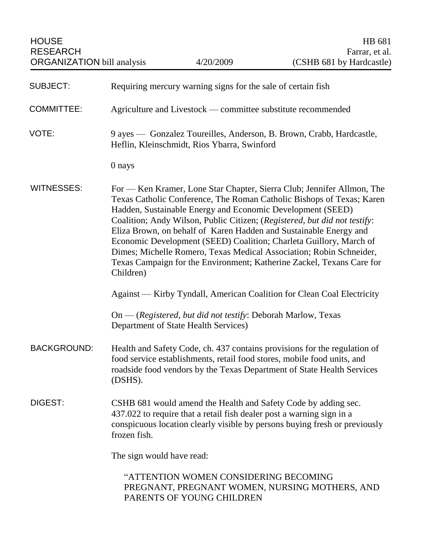| <b>SUBJECT:</b>    | Requiring mercury warning signs for the sale of certain fish                                                                                                                                                                                                                                                                                                                                                                                                                                                                                                                                       |
|--------------------|----------------------------------------------------------------------------------------------------------------------------------------------------------------------------------------------------------------------------------------------------------------------------------------------------------------------------------------------------------------------------------------------------------------------------------------------------------------------------------------------------------------------------------------------------------------------------------------------------|
| <b>COMMITTEE:</b>  | Agriculture and Livestock — committee substitute recommended                                                                                                                                                                                                                                                                                                                                                                                                                                                                                                                                       |
| VOTE:              | 9 ayes — Gonzalez Toureilles, Anderson, B. Brown, Crabb, Hardcastle,<br>Heflin, Kleinschmidt, Rios Ybarra, Swinford                                                                                                                                                                                                                                                                                                                                                                                                                                                                                |
|                    | 0 nays                                                                                                                                                                                                                                                                                                                                                                                                                                                                                                                                                                                             |
| <b>WITNESSES:</b>  | For — Ken Kramer, Lone Star Chapter, Sierra Club; Jennifer Allmon, The<br>Texas Catholic Conference, The Roman Catholic Bishops of Texas; Karen<br>Hadden, Sustainable Energy and Economic Development (SEED)<br>Coalition; Andy Wilson, Public Citizen; (Registered, but did not testify:<br>Eliza Brown, on behalf of Karen Hadden and Sustainable Energy and<br>Economic Development (SEED) Coalition; Charleta Guillory, March of<br>Dimes; Michelle Romero, Texas Medical Association; Robin Schneider,<br>Texas Campaign for the Environment; Katherine Zackel, Texans Care for<br>Children) |
|                    | Against — Kirby Tyndall, American Coalition for Clean Coal Electricity                                                                                                                                                                                                                                                                                                                                                                                                                                                                                                                             |
|                    | $On - (Rejectered, but did not testify: Deborah Marlow, Texas)$<br>Department of State Health Services)                                                                                                                                                                                                                                                                                                                                                                                                                                                                                            |
| <b>BACKGROUND:</b> | Health and Safety Code, ch. 437 contains provisions for the regulation of<br>food service establishments, retail food stores, mobile food units, and<br>roadside food vendors by the Texas Department of State Health Services<br>(DSHS).                                                                                                                                                                                                                                                                                                                                                          |
| DIGEST:            | CSHB 681 would amend the Health and Safety Code by adding sec.<br>437.022 to require that a retail fish dealer post a warning sign in a<br>conspicuous location clearly visible by persons buying fresh or previously<br>frozen fish.                                                                                                                                                                                                                                                                                                                                                              |
|                    | The sign would have read:                                                                                                                                                                                                                                                                                                                                                                                                                                                                                                                                                                          |
|                    | "ATTENTION WOMEN CONSIDERING BECOMING<br>PREGNANT, PREGNANT WOMEN, NURSING MOTHERS, AND                                                                                                                                                                                                                                                                                                                                                                                                                                                                                                            |

PARENTS OF YOUNG CHILDREN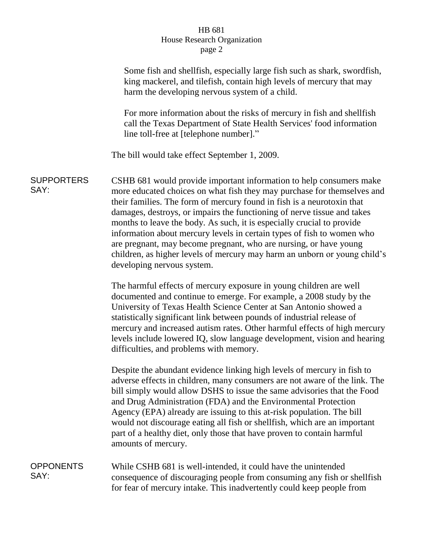## HB 681 House Research Organization page 2

|                           | Some fish and shellfish, especially large fish such as shark, swordfish,<br>king mackerel, and tilefish, contain high levels of mercury that may<br>harm the developing nervous system of a child.                                                                                                                                                                                                                                                                                                                                                                                                                                      |
|---------------------------|-----------------------------------------------------------------------------------------------------------------------------------------------------------------------------------------------------------------------------------------------------------------------------------------------------------------------------------------------------------------------------------------------------------------------------------------------------------------------------------------------------------------------------------------------------------------------------------------------------------------------------------------|
|                           | For more information about the risks of mercury in fish and shellfish<br>call the Texas Department of State Health Services' food information<br>line toll-free at [telephone number]."                                                                                                                                                                                                                                                                                                                                                                                                                                                 |
|                           | The bill would take effect September 1, 2009.                                                                                                                                                                                                                                                                                                                                                                                                                                                                                                                                                                                           |
| <b>SUPPORTERS</b><br>SAY: | CSHB 681 would provide important information to help consumers make<br>more educated choices on what fish they may purchase for themselves and<br>their families. The form of mercury found in fish is a neurotoxin that<br>damages, destroys, or impairs the functioning of nerve tissue and takes<br>months to leave the body. As such, it is especially crucial to provide<br>information about mercury levels in certain types of fish to women who<br>are pregnant, may become pregnant, who are nursing, or have young<br>children, as higher levels of mercury may harm an unborn or young child's<br>developing nervous system. |
|                           | The harmful effects of mercury exposure in young children are well<br>documented and continue to emerge. For example, a 2008 study by the<br>University of Texas Health Science Center at San Antonio showed a<br>statistically significant link between pounds of industrial release of<br>mercury and increased autism rates. Other harmful effects of high mercury<br>levels include lowered IQ, slow language development, vision and hearing<br>difficulties, and problems with memory.                                                                                                                                            |
|                           | Despite the abundant evidence linking high levels of mercury in fish to<br>adverse effects in children, many consumers are not aware of the link. The<br>bill simply would allow DSHS to issue the same advisories that the Food<br>and Drug Administration (FDA) and the Environmental Protection<br>Agency (EPA) already are issuing to this at-risk population. The bill<br>would not discourage eating all fish or shellfish, which are an important<br>part of a healthy diet, only those that have proven to contain harmful<br>amounts of mercury.                                                                               |
| <b>OPPONENTS</b><br>SAY:  | While CSHB 681 is well-intended, it could have the unintended<br>consequence of discouraging people from consuming any fish or shellfish<br>for fear of mercury intake. This inadvertently could keep people from                                                                                                                                                                                                                                                                                                                                                                                                                       |